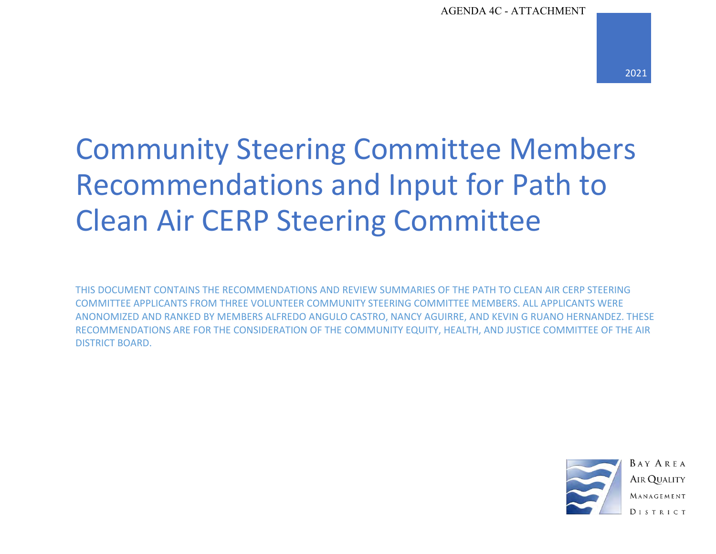# Community Steering Committee Members Recommendations and Input for Path to Clean Air CERP Steering Committee

THIS DOCUMENT CONTAINS THE RECOMMENDATIONS AND REVIEW SUMMARIES OF THE PATH TO CLEAN AIR CERP STEERING COMMITTEE APPLICANTS FROM THREE VOLUNTEER COMMUNITY STEERING COMMITTEE MEMBERS. ALL APPLICANTS WERE ANONOMIZED AND RANKED BY MEMBERS ALFREDO ANGULO CASTRO, NANCY AGUIRRE, AND KEVIN G RUANO HERNANDEZ. THESE RECOMMENDATIONS ARE FOR THE CONSIDERATION OF THE COMMUNITY EQUITY, HEALTH, AND JUSTICE COMMITTEE OF THE AIR DISTRICT BOARD.



**BAY AREA AIR QUALITY** MANAGEMENT **DISTRICT**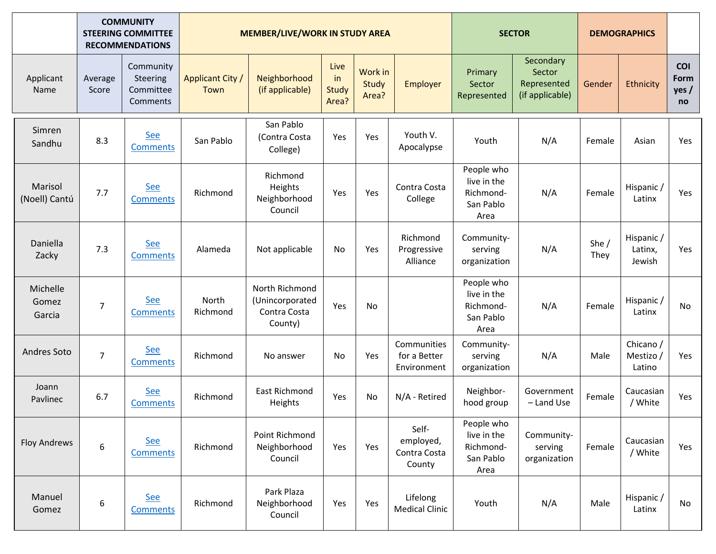|                             | <b>COMMUNITY</b><br><b>STEERING COMMITTEE</b><br><b>RECOMMENDATIONS</b> |                                                |                                 | <b>MEMBER/LIVE/WORK IN STUDY AREA</b>                        | <b>SECTOR</b>                |                           | <b>DEMOGRAPHICS</b>                          |                                                             |                                                       |                 |                                  |                                  |
|-----------------------------|-------------------------------------------------------------------------|------------------------------------------------|---------------------------------|--------------------------------------------------------------|------------------------------|---------------------------|----------------------------------------------|-------------------------------------------------------------|-------------------------------------------------------|-----------------|----------------------------------|----------------------------------|
| Applicant<br>Name           | Average<br>Score                                                        | Community<br>Steering<br>Committee<br>Comments | <b>Applicant City /</b><br>Town | Neighborhood<br>(if applicable)                              | Live<br>in<br>Study<br>Area? | Work in<br>Study<br>Area? | Employer                                     | Primary<br>Sector<br>Represented                            | Secondary<br>Sector<br>Represented<br>(if applicable) | Gender          | Ethnicity                        | <b>COI</b><br>Form<br>yes/<br>no |
| Simren<br>Sandhu            | 8.3                                                                     | See<br>Comments                                | San Pablo                       | San Pablo<br>(Contra Costa<br>College)                       | Yes                          | Yes                       | Youth V.<br>Apocalypse                       | Youth                                                       | N/A                                                   | Female          | Asian                            | Yes                              |
| Marisol<br>(Noell) Cantú    | 7.7                                                                     | <b>See</b><br><b>Comments</b>                  | Richmond                        | Richmond<br>Heights<br>Neighborhood<br>Council               | Yes                          | Yes                       | Contra Costa<br>College                      | People who<br>live in the<br>Richmond-<br>San Pablo<br>Area | N/A                                                   | Female          | Hispanic /<br>Latinx             | Yes                              |
| Daniella<br>Zacky           | 7.3                                                                     | See<br>Comments                                | Alameda                         | Not applicable                                               | No                           | Yes                       | Richmond<br>Progressive<br>Alliance          | Community-<br>serving<br>organization                       | N/A                                                   | She $/$<br>They | Hispanic /<br>Latinx,<br>Jewish  | Yes                              |
| Michelle<br>Gomez<br>Garcia | $\overline{7}$                                                          | <b>See</b><br><b>Comments</b>                  | North<br>Richmond               | North Richmond<br>(Unincorporated<br>Contra Costa<br>County) | Yes                          | No                        |                                              | People who<br>live in the<br>Richmond-<br>San Pablo<br>Area | N/A                                                   | Female          | Hispanic /<br>Latinx             | <b>No</b>                        |
| <b>Andres Soto</b>          | $\overline{7}$                                                          | See<br><b>Comments</b>                         | Richmond                        | No answer                                                    | No                           | Yes                       | Communities<br>for a Better<br>Environment   | Community-<br>serving<br>organization                       | N/A                                                   | Male            | Chicano /<br>Mestizo /<br>Latino | Yes                              |
| Joann<br>Pavlinec           | 6.7                                                                     | <b>See</b><br><b>Comments</b>                  | Richmond                        | East Richmond<br>Heights                                     | Yes                          | <b>No</b>                 | N/A - Retired                                | Neighbor-<br>hood group                                     | Government<br>- Land Use                              | Female          | Caucasian<br>/ White             | Yes                              |
| <b>Floy Andrews</b>         | 6                                                                       | <b>See</b><br><b>Comments</b>                  | Richmond                        | Point Richmond<br>Neighborhood<br>Council                    | Yes                          | Yes                       | Self-<br>employed,<br>Contra Costa<br>County | People who<br>live in the<br>Richmond-<br>San Pablo<br>Area | Community-<br>serving<br>organization                 | Female          | Caucasian<br>/ White             | Yes                              |
| Manuel<br>Gomez             | 6                                                                       | <b>See</b><br><b>Comments</b>                  | Richmond                        | Park Plaza<br>Neighborhood<br>Council                        | Yes                          | Yes                       | Lifelong<br><b>Medical Clinic</b>            | Youth                                                       | N/A                                                   | Male            | Hispanic /<br>Latinx             | No                               |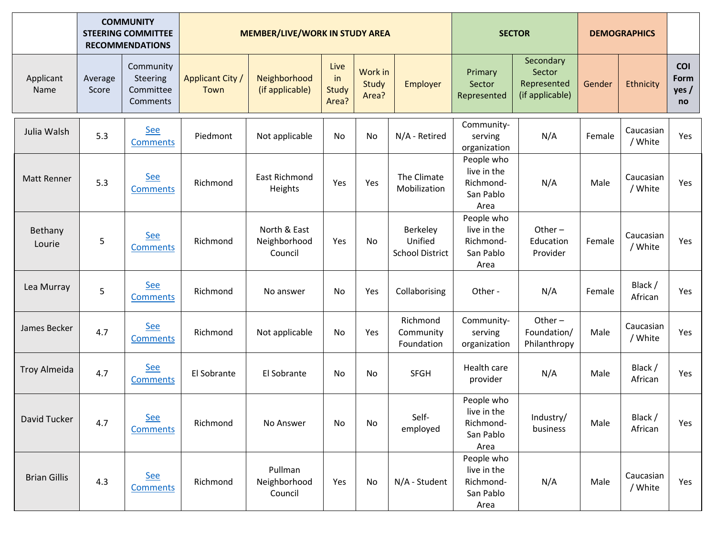|                     | <b>COMMUNITY</b><br><b>STEERING COMMITTEE</b><br><b>RECOMMENDATIONS</b> |                                                | <b>MEMBER/LIVE/WORK IN STUDY AREA</b> |                                         |                              |                           |                                               | <b>SECTOR</b>                                               |                                                       | <b>DEMOGRAPHICS</b> |                      |                            |
|---------------------|-------------------------------------------------------------------------|------------------------------------------------|---------------------------------------|-----------------------------------------|------------------------------|---------------------------|-----------------------------------------------|-------------------------------------------------------------|-------------------------------------------------------|---------------------|----------------------|----------------------------|
| Applicant<br>Name   | Average<br>Score                                                        | Community<br>Steering<br>Committee<br>Comments | <b>Applicant City /</b><br>Town       | Neighborhood<br>(if applicable)         | Live<br>in<br>Study<br>Area? | Work in<br>Study<br>Area? | Employer                                      | Primary<br>Sector<br>Represented                            | Secondary<br>Sector<br>Represented<br>(if applicable) | Gender              | Ethnicity            | COI<br>Form<br>yes /<br>no |
| Julia Walsh         | 5.3                                                                     | <b>See</b><br><b>Comments</b>                  | Piedmont                              | Not applicable                          | No                           | No                        | N/A - Retired                                 | Community-<br>serving<br>organization                       | N/A                                                   | Female              | Caucasian<br>/ White | Yes                        |
| Matt Renner         | 5.3                                                                     | <b>See</b><br><b>Comments</b>                  | Richmond                              | <b>East Richmond</b><br>Heights         | Yes                          | Yes                       | The Climate<br>Mobilization                   | People who<br>live in the<br>Richmond-<br>San Pablo<br>Area | N/A                                                   | Male                | Caucasian<br>/ White | Yes                        |
| Bethany<br>Lourie   | 5                                                                       | <b>See</b><br><b>Comments</b>                  | Richmond                              | North & East<br>Neighborhood<br>Council | Yes                          | No                        | Berkeley<br>Unified<br><b>School District</b> | People who<br>live in the<br>Richmond-<br>San Pablo<br>Area | Other $-$<br>Education<br>Provider                    | Female              | Caucasian<br>/ White | Yes                        |
| Lea Murray          | 5                                                                       | <b>See</b><br><b>Comments</b>                  | Richmond                              | No answer                               | No                           | Yes                       | Collaborising                                 | Other -                                                     | N/A                                                   | Female              | Black /<br>African   | Yes                        |
| James Becker        | 4.7                                                                     | <b>See</b><br><b>Comments</b>                  | Richmond                              | Not applicable                          | No                           | Yes                       | Richmond<br>Community<br>Foundation           | Community-<br>serving<br>organization                       | Other $-$<br>Foundation/<br>Philanthropy              | Male                | Caucasian<br>/ White | Yes                        |
| <b>Troy Almeida</b> | 4.7                                                                     | <b>See</b><br><b>Comments</b>                  | El Sobrante                           | El Sobrante                             | No                           | <b>No</b>                 | <b>SFGH</b>                                   | Health care<br>provider                                     | N/A                                                   | Male                | Black /<br>African   | Yes                        |
| David Tucker        | 4.7                                                                     | <b>See</b><br><b>Comments</b>                  | Richmond                              | No Answer                               | No                           | No                        | Self-<br>employed                             | People who<br>live in the<br>Richmond-<br>San Pablo<br>Area | Industry/<br>business                                 | Male                | Black /<br>African   | Yes                        |
| <b>Brian Gillis</b> | 4.3                                                                     | <b>See</b><br><b>Comments</b>                  | Richmond                              | Pullman<br>Neighborhood<br>Council      | Yes                          | No                        | N/A - Student                                 | People who<br>live in the<br>Richmond-<br>San Pablo<br>Area | N/A                                                   | Male                | Caucasian<br>/ White | Yes                        |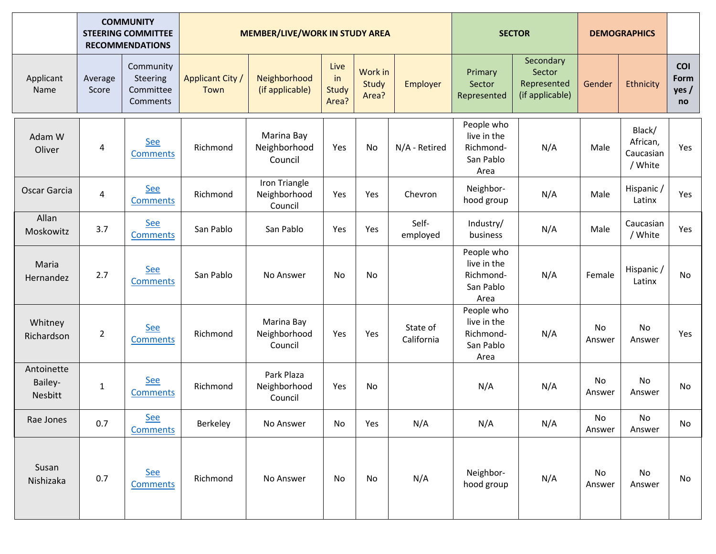|                                  | <b>COMMUNITY</b><br><b>STEERING COMMITTEE</b><br><b>RECOMMENDATIONS</b> |                                                | <b>MEMBER/LIVE/WORK IN STUDY AREA</b> |                                          |                              |                           |                        | <b>SECTOR</b>                                               |                                                       | <b>DEMOGRAPHICS</b> |                                            |                            |
|----------------------------------|-------------------------------------------------------------------------|------------------------------------------------|---------------------------------------|------------------------------------------|------------------------------|---------------------------|------------------------|-------------------------------------------------------------|-------------------------------------------------------|---------------------|--------------------------------------------|----------------------------|
| Applicant<br>Name                | Average<br>Score                                                        | Community<br>Steering<br>Committee<br>Comments | <b>Applicant City /</b><br>Town       | Neighborhood<br>(if applicable)          | Live<br>in<br>Study<br>Area? | Work in<br>Study<br>Area? | Employer               | Primary<br>Sector<br>Represented                            | Secondary<br>Sector<br>Represented<br>(if applicable) | Gender              | Ethnicity                                  | COI<br>Form<br>yes /<br>no |
| Adam W<br>Oliver                 | 4                                                                       | <b>See</b><br><b>Comments</b>                  | Richmond                              | Marina Bay<br>Neighborhood<br>Council    | Yes                          | No                        | N/A - Retired          | People who<br>live in the<br>Richmond-<br>San Pablo<br>Area | N/A                                                   | Male                | Black/<br>African,<br>Caucasian<br>/ White | Yes                        |
| Oscar Garcia                     | $\overline{\mathcal{A}}$                                                | See<br><b>Comments</b>                         | Richmond                              | Iron Triangle<br>Neighborhood<br>Council | Yes                          | Yes                       | Chevron                | Neighbor-<br>hood group                                     | N/A                                                   | Male                | Hispanic /<br>Latinx                       | Yes                        |
| Allan<br>Moskowitz               | 3.7                                                                     | <b>See</b><br><b>Comments</b>                  | San Pablo                             | San Pablo                                | Yes                          | Yes                       | Self-<br>employed      | Industry/<br>business                                       | N/A                                                   | Male                | Caucasian<br>/ White                       | Yes                        |
| Maria<br>Hernandez               | 2.7                                                                     | <b>See</b><br><b>Comments</b>                  | San Pablo                             | No Answer                                | No                           | No                        |                        | People who<br>live in the<br>Richmond-<br>San Pablo<br>Area | N/A                                                   | Female              | Hispanic /<br>Latinx                       | No                         |
| Whitney<br>Richardson            | $\overline{2}$                                                          | <b>See</b><br><b>Comments</b>                  | Richmond                              | Marina Bay<br>Neighborhood<br>Council    | Yes                          | Yes                       | State of<br>California | People who<br>live in the<br>Richmond-<br>San Pablo<br>Area | N/A                                                   | No<br>Answer        | No<br>Answer                               | Yes                        |
| Antoinette<br>Bailey-<br>Nesbitt | $\mathbf{1}$                                                            | <b>See</b><br><b>Comments</b>                  | Richmond                              | Park Plaza<br>Neighborhood<br>Council    | Yes                          | No                        |                        | N/A                                                         | N/A                                                   | No<br>Answer        | No<br>Answer                               | No                         |
| Rae Jones                        | 0.7                                                                     | <b>See</b><br><b>Comments</b>                  | Berkeley                              | No Answer                                | No                           | Yes                       | N/A                    | N/A                                                         | N/A                                                   | No<br>Answer        | No<br>Answer                               | No                         |
| Susan<br>Nishizaka               | 0.7                                                                     | <b>See</b><br><b>Comments</b>                  | Richmond                              | No Answer                                | No                           | No                        | N/A                    | Neighbor-<br>hood group                                     | N/A                                                   | No<br>Answer        | No<br>Answer                               | No                         |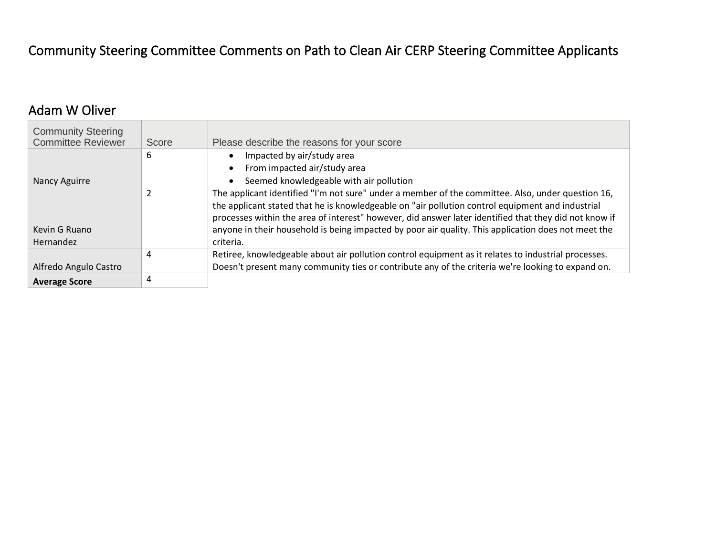## Community Steering Committee Comments on Path to Clean Air CERP Steering Committee Applicants

#### <span id="page-4-0"></span>Adam W Oliver

| <b>Community Steering</b><br><b>Committee Reviewer</b> | Score | Please describe the reasons for your score                                                                                                                                                                                                                                                                                                                                                                                         |
|--------------------------------------------------------|-------|------------------------------------------------------------------------------------------------------------------------------------------------------------------------------------------------------------------------------------------------------------------------------------------------------------------------------------------------------------------------------------------------------------------------------------|
|                                                        | 6     | Impacted by air/study area                                                                                                                                                                                                                                                                                                                                                                                                         |
|                                                        |       | From impacted air/study area                                                                                                                                                                                                                                                                                                                                                                                                       |
| Nancy Aguirre                                          |       | Seemed knowledgeable with air pollution                                                                                                                                                                                                                                                                                                                                                                                            |
| Kevin G Ruano<br>Hernandez                             | 2     | The applicant identified "I'm not sure" under a member of the committee. Also, under question 16,<br>the applicant stated that he is knowledgeable on "air pollution control equipment and industrial<br>processes within the area of interest" however, did answer later identified that they did not know if<br>anyone in their household is being impacted by poor air quality. This application does not meet the<br>criteria. |
|                                                        | 4     | Retiree, knowledgeable about air pollution control equipment as it relates to industrial processes.                                                                                                                                                                                                                                                                                                                                |
| Alfredo Angulo Castro                                  |       | Doesn't present many community ties or contribute any of the criteria we're looking to expand on.                                                                                                                                                                                                                                                                                                                                  |
| <b>Average Score</b>                                   | 4     |                                                                                                                                                                                                                                                                                                                                                                                                                                    |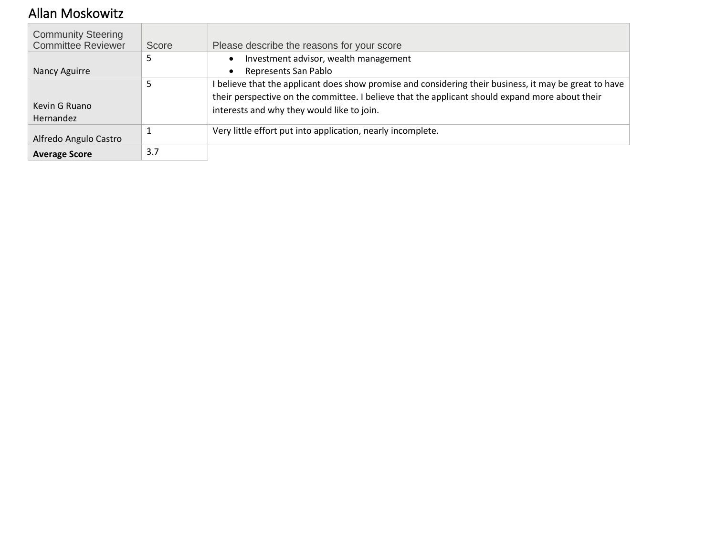## <span id="page-5-0"></span>Allan Moskowitz

| <b>Community Steering</b><br><b>Committee Reviewer</b> | Score | Please describe the reasons for your score                                                             |
|--------------------------------------------------------|-------|--------------------------------------------------------------------------------------------------------|
|                                                        | 5     | Investment advisor, wealth management                                                                  |
| Nancy Aguirre                                          |       | Represents San Pablo<br>$\bullet$                                                                      |
|                                                        |       | I believe that the applicant does show promise and considering their business, it may be great to have |
|                                                        |       | their perspective on the committee. I believe that the applicant should expand more about their        |
| Kevin G Ruano                                          |       | interests and why they would like to join.                                                             |
| <b>Hernandez</b>                                       |       |                                                                                                        |
| Alfredo Angulo Castro                                  |       | Very little effort put into application, nearly incomplete.                                            |
| <b>Average Score</b>                                   | 3.7   |                                                                                                        |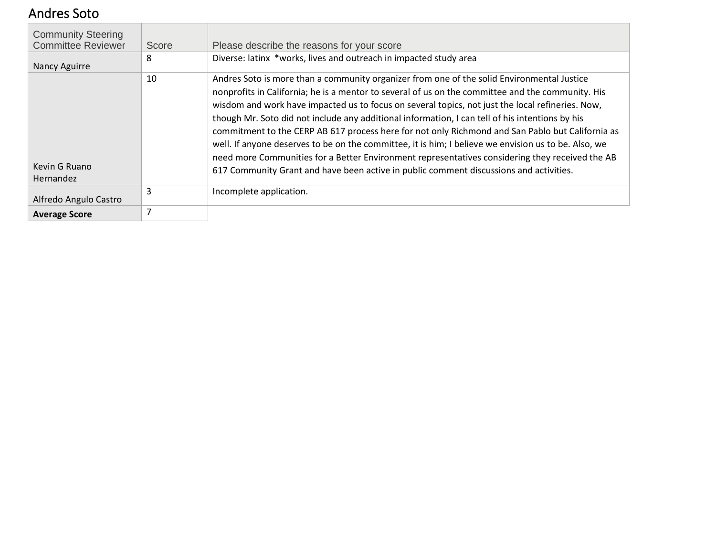#### <span id="page-6-0"></span>Andres Soto

| <b>Community Steering</b><br><b>Committee Reviewer</b> | Score | Please describe the reasons for your score                                                                                                                                                                                                                                                                                                                                                                                                                                                                                                                                                                                                                                                                                                                                                                      |
|--------------------------------------------------------|-------|-----------------------------------------------------------------------------------------------------------------------------------------------------------------------------------------------------------------------------------------------------------------------------------------------------------------------------------------------------------------------------------------------------------------------------------------------------------------------------------------------------------------------------------------------------------------------------------------------------------------------------------------------------------------------------------------------------------------------------------------------------------------------------------------------------------------|
| Nancy Aguirre                                          | 8     | Diverse: latinx *works, lives and outreach in impacted study area                                                                                                                                                                                                                                                                                                                                                                                                                                                                                                                                                                                                                                                                                                                                               |
| Kevin G Ruano<br>Hernandez                             | 10    | Andres Soto is more than a community organizer from one of the solid Environmental Justice<br>nonprofits in California; he is a mentor to several of us on the committee and the community. His<br>wisdom and work have impacted us to focus on several topics, not just the local refineries. Now,<br>though Mr. Soto did not include any additional information, I can tell of his intentions by his<br>commitment to the CERP AB 617 process here for not only Richmond and San Pablo but California as<br>well. If anyone deserves to be on the committee, it is him; I believe we envision us to be. Also, we<br>need more Communities for a Better Environment representatives considering they received the AB<br>617 Community Grant and have been active in public comment discussions and activities. |
| Alfredo Angulo Castro                                  | 3     | Incomplete application.                                                                                                                                                                                                                                                                                                                                                                                                                                                                                                                                                                                                                                                                                                                                                                                         |
| <b>Average Score</b>                                   |       |                                                                                                                                                                                                                                                                                                                                                                                                                                                                                                                                                                                                                                                                                                                                                                                                                 |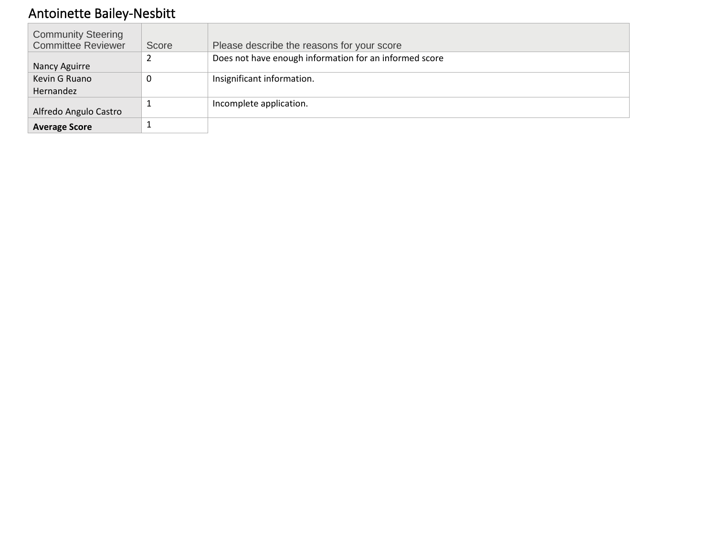# <span id="page-7-0"></span>Antoinette Bailey-Nesbitt

| <b>Community Steering</b> |       |                                                        |
|---------------------------|-------|--------------------------------------------------------|
| <b>Committee Reviewer</b> | Score | Please describe the reasons for your score             |
| Nancy Aguirre             |       | Does not have enough information for an informed score |
|                           |       |                                                        |
| Kevin G Ruano             | 0     | Insignificant information.                             |
| Hernandez                 |       |                                                        |
| Alfredo Angulo Castro     |       | Incomplete application.                                |
| <b>Average Score</b>      |       |                                                        |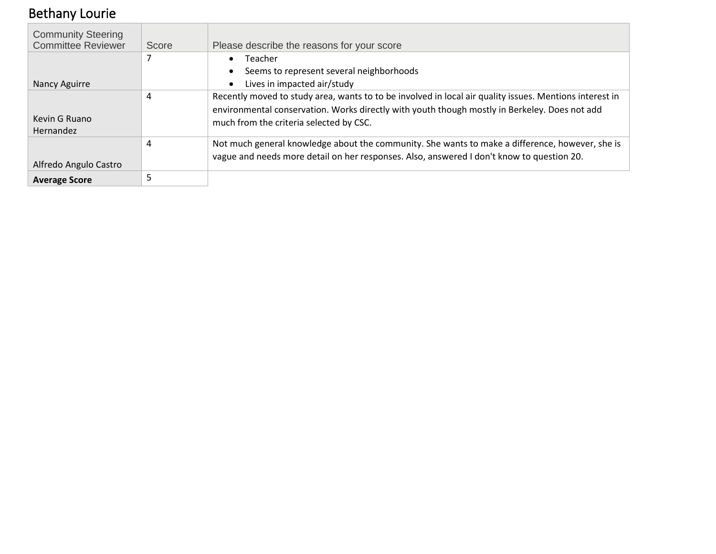# <span id="page-8-0"></span>Bethany Lourie

| <b>Community Steering</b><br><b>Committee Reviewer</b> | Score | Please describe the reasons for your score                                                                                                                                                                                                          |
|--------------------------------------------------------|-------|-----------------------------------------------------------------------------------------------------------------------------------------------------------------------------------------------------------------------------------------------------|
|                                                        |       | Teacher<br>$\bullet$                                                                                                                                                                                                                                |
|                                                        |       | Seems to represent several neighborhoods<br>$\bullet$                                                                                                                                                                                               |
| Nancy Aguirre                                          |       | Lives in impacted air/study<br>$\bullet$                                                                                                                                                                                                            |
| Kevin G Ruano<br>Hernandez                             | 4     | Recently moved to study area, wants to to be involved in local air quality issues. Mentions interest in<br>environmental conservation. Works directly with youth though mostly in Berkeley. Does not add<br>much from the criteria selected by CSC. |
| Alfredo Angulo Castro                                  | 4     | Not much general knowledge about the community. She wants to make a difference, however, she is<br>vague and needs more detail on her responses. Also, answered I don't know to question 20.                                                        |
| <b>Average Score</b>                                   |       |                                                                                                                                                                                                                                                     |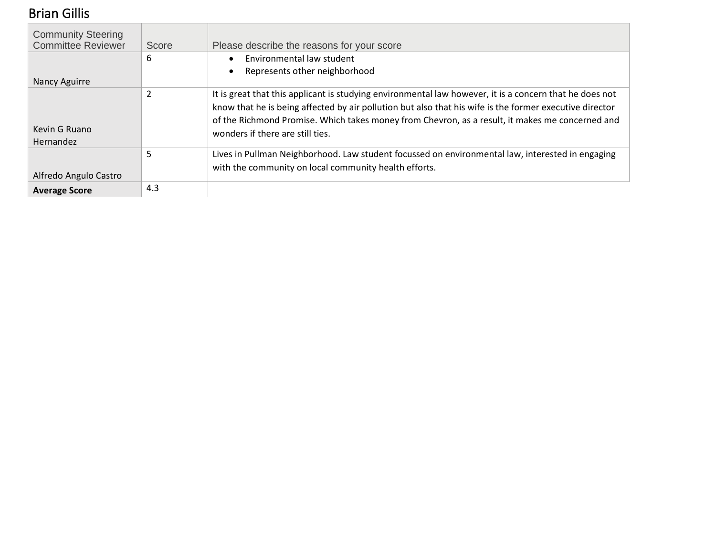# <span id="page-9-0"></span>Brian Gillis

| <b>Community Steering</b><br><b>Committee Reviewer</b> | Score                    | Please describe the reasons for your score                                                                                                                                                                                                                                                                                                                |
|--------------------------------------------------------|--------------------------|-----------------------------------------------------------------------------------------------------------------------------------------------------------------------------------------------------------------------------------------------------------------------------------------------------------------------------------------------------------|
|                                                        | 6                        | Environmental law student                                                                                                                                                                                                                                                                                                                                 |
|                                                        |                          | Represents other neighborhood                                                                                                                                                                                                                                                                                                                             |
| Nancy Aguirre                                          |                          |                                                                                                                                                                                                                                                                                                                                                           |
| Kevin G Ruano<br>Hernandez                             | $\overline{\phantom{a}}$ | It is great that this applicant is studying environmental law however, it is a concern that he does not<br>know that he is being affected by air pollution but also that his wife is the former executive director<br>of the Richmond Promise. Which takes money from Chevron, as a result, it makes me concerned and<br>wonders if there are still ties. |
|                                                        | 5                        | Lives in Pullman Neighborhood. Law student focussed on environmental law, interested in engaging                                                                                                                                                                                                                                                          |
| Alfredo Angulo Castro                                  |                          | with the community on local community health efforts.                                                                                                                                                                                                                                                                                                     |
| <b>Average Score</b>                                   | 4.3                      |                                                                                                                                                                                                                                                                                                                                                           |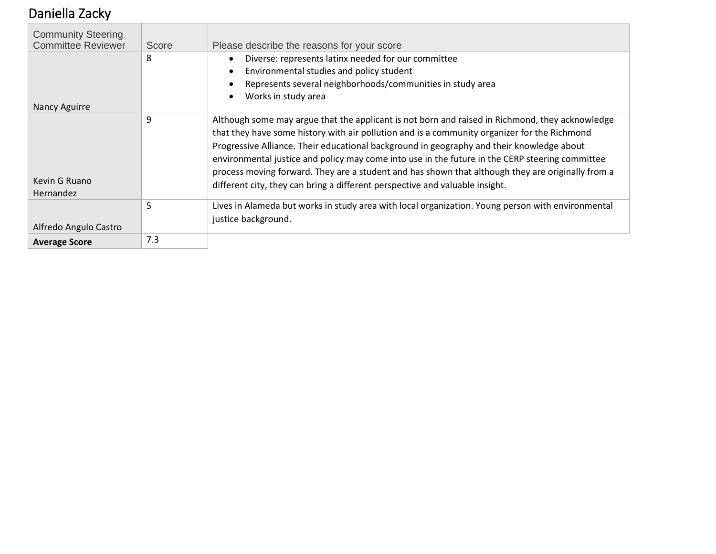# <span id="page-10-0"></span>Daniella Zacky

| <b>Community Steering</b><br><b>Committee Reviewer</b> |       |                                                                                                                                                                                                                                                                                                                                                                                                                                                                                                                                                                                      |
|--------------------------------------------------------|-------|--------------------------------------------------------------------------------------------------------------------------------------------------------------------------------------------------------------------------------------------------------------------------------------------------------------------------------------------------------------------------------------------------------------------------------------------------------------------------------------------------------------------------------------------------------------------------------------|
|                                                        | Score | Please describe the reasons for your score                                                                                                                                                                                                                                                                                                                                                                                                                                                                                                                                           |
|                                                        | 8     | Diverse: represents latinx needed for our committee<br>$\bullet$                                                                                                                                                                                                                                                                                                                                                                                                                                                                                                                     |
|                                                        |       | Environmental studies and policy student                                                                                                                                                                                                                                                                                                                                                                                                                                                                                                                                             |
|                                                        |       | Represents several neighborhoods/communities in study area                                                                                                                                                                                                                                                                                                                                                                                                                                                                                                                           |
|                                                        |       | Works in study area                                                                                                                                                                                                                                                                                                                                                                                                                                                                                                                                                                  |
| Nancy Aguirre                                          |       |                                                                                                                                                                                                                                                                                                                                                                                                                                                                                                                                                                                      |
| Kevin G Ruano                                          | 9     | Although some may argue that the applicant is not born and raised in Richmond, they acknowledge<br>that they have some history with air pollution and is a community organizer for the Richmond<br>Progressive Alliance. Their educational background in geography and their knowledge about<br>environmental justice and policy may come into use in the future in the CERP steering committee<br>process moving forward. They are a student and has shown that although they are originally from a<br>different city, they can bring a different perspective and valuable insight. |
| Hernandez                                              |       |                                                                                                                                                                                                                                                                                                                                                                                                                                                                                                                                                                                      |
|                                                        | 5     | Lives in Alameda but works in study area with local organization. Young person with environmental                                                                                                                                                                                                                                                                                                                                                                                                                                                                                    |
| Alfredo Angulo Castro                                  |       | justice background.                                                                                                                                                                                                                                                                                                                                                                                                                                                                                                                                                                  |
| <b>Average Score</b>                                   | 7.3   |                                                                                                                                                                                                                                                                                                                                                                                                                                                                                                                                                                                      |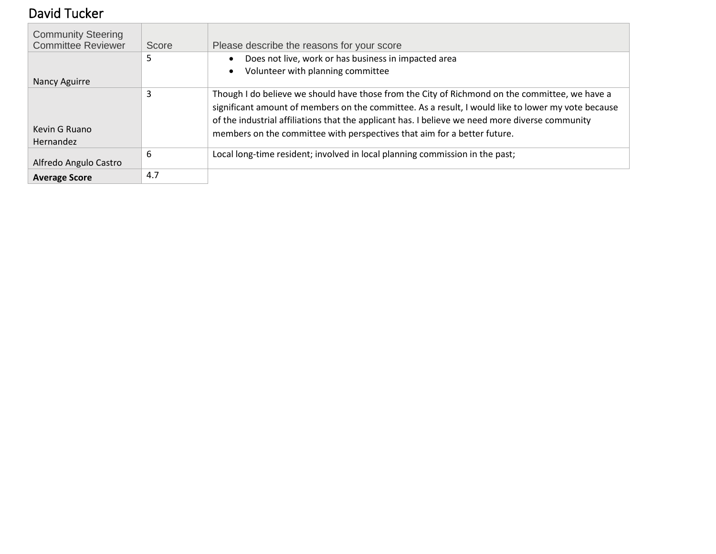# <span id="page-11-0"></span>David Tucker

| <b>Community Steering</b><br><b>Committee Reviewer</b> | Score | Please describe the reasons for your score                                                                                                                                                                                                                                                                                                                                          |
|--------------------------------------------------------|-------|-------------------------------------------------------------------------------------------------------------------------------------------------------------------------------------------------------------------------------------------------------------------------------------------------------------------------------------------------------------------------------------|
|                                                        | ר     | Does not live, work or has business in impacted area                                                                                                                                                                                                                                                                                                                                |
|                                                        |       | Volunteer with planning committee<br>$\bullet$                                                                                                                                                                                                                                                                                                                                      |
| Nancy Aguirre                                          |       |                                                                                                                                                                                                                                                                                                                                                                                     |
| Kevin G Ruano<br><b>Hernandez</b>                      | 3     | Though I do believe we should have those from the City of Richmond on the committee, we have a<br>significant amount of members on the committee. As a result, I would like to lower my vote because<br>of the industrial affiliations that the applicant has. I believe we need more diverse community<br>members on the committee with perspectives that aim for a better future. |
| Alfredo Angulo Castro                                  | 6     | Local long-time resident; involved in local planning commission in the past;                                                                                                                                                                                                                                                                                                        |
| <b>Average Score</b>                                   | 4.7   |                                                                                                                                                                                                                                                                                                                                                                                     |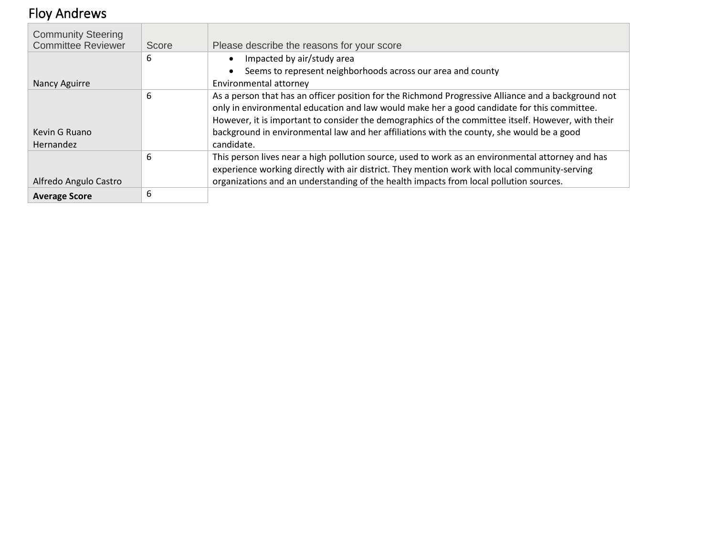# <span id="page-12-0"></span>Floy Andrews

| <b>Community Steering</b><br><b>Committee Reviewer</b> | Score | Please describe the reasons for your score                                                          |
|--------------------------------------------------------|-------|-----------------------------------------------------------------------------------------------------|
|                                                        | 6     | Impacted by air/study area                                                                          |
|                                                        |       | Seems to represent neighborhoods across our area and county                                         |
| Nancy Aguirre                                          |       | Environmental attorney                                                                              |
|                                                        | 6     | As a person that has an officer position for the Richmond Progressive Alliance and a background not |
|                                                        |       | only in environmental education and law would make her a good candidate for this committee.         |
|                                                        |       | However, it is important to consider the demographics of the committee itself. However, with their  |
| Kevin G Ruano                                          |       | background in environmental law and her affiliations with the county, she would be a good           |
| Hernandez                                              |       | candidate.                                                                                          |
|                                                        | 6     | This person lives near a high pollution source, used to work as an environmental attorney and has   |
|                                                        |       | experience working directly with air district. They mention work with local community-serving       |
| Alfredo Angulo Castro                                  |       | organizations and an understanding of the health impacts from local pollution sources.              |
| <b>Average Score</b>                                   | 6     |                                                                                                     |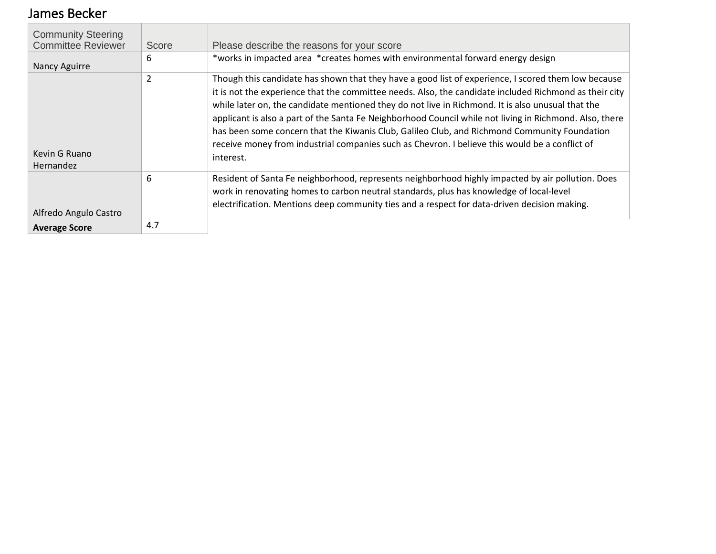#### <span id="page-13-0"></span>James Becker

| <b>Community Steering</b><br><b>Committee Reviewer</b> | Score          | Please describe the reasons for your score                                                                                                                                                                                                                                                                                                                                                                                                                                                                                                                                                                                                   |
|--------------------------------------------------------|----------------|----------------------------------------------------------------------------------------------------------------------------------------------------------------------------------------------------------------------------------------------------------------------------------------------------------------------------------------------------------------------------------------------------------------------------------------------------------------------------------------------------------------------------------------------------------------------------------------------------------------------------------------------|
| Nancy Aguirre                                          | 6              | *works in impacted area *creates homes with environmental forward energy design                                                                                                                                                                                                                                                                                                                                                                                                                                                                                                                                                              |
| Kevin G Ruano<br>Hernandez                             | $\overline{2}$ | Though this candidate has shown that they have a good list of experience, I scored them low because<br>it is not the experience that the committee needs. Also, the candidate included Richmond as their city<br>while later on, the candidate mentioned they do not live in Richmond. It is also unusual that the<br>applicant is also a part of the Santa Fe Neighborhood Council while not living in Richmond. Also, there<br>has been some concern that the Kiwanis Club, Galileo Club, and Richmond Community Foundation<br>receive money from industrial companies such as Chevron. I believe this would be a conflict of<br>interest. |
| Alfredo Angulo Castro                                  | 6              | Resident of Santa Fe neighborhood, represents neighborhood highly impacted by air pollution. Does<br>work in renovating homes to carbon neutral standards, plus has knowledge of local-level<br>electrification. Mentions deep community ties and a respect for data-driven decision making.                                                                                                                                                                                                                                                                                                                                                 |
| <b>Average Score</b>                                   | 4.7            |                                                                                                                                                                                                                                                                                                                                                                                                                                                                                                                                                                                                                                              |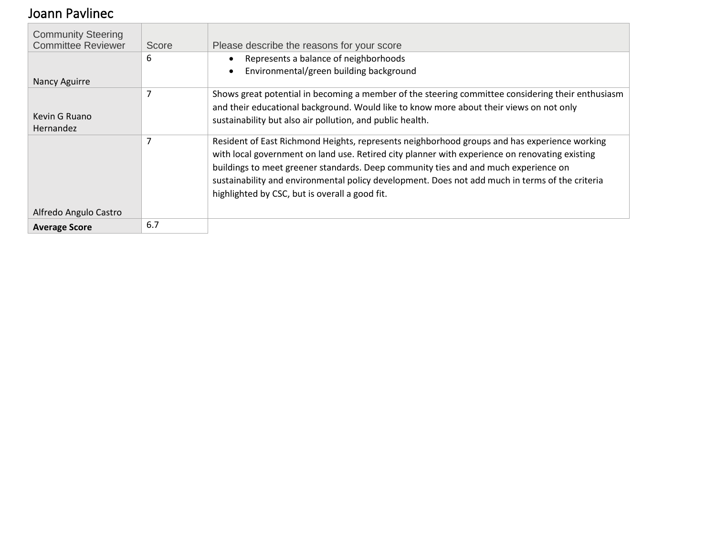#### <span id="page-14-0"></span>Joann Pavlinec

| <b>Community Steering</b><br><b>Committee Reviewer</b> | Score | Please describe the reasons for your score                                                                                                                                                                                                                                                                                                                                                                                                 |
|--------------------------------------------------------|-------|--------------------------------------------------------------------------------------------------------------------------------------------------------------------------------------------------------------------------------------------------------------------------------------------------------------------------------------------------------------------------------------------------------------------------------------------|
|                                                        | 6     | Represents a balance of neighborhoods<br>$\bullet$                                                                                                                                                                                                                                                                                                                                                                                         |
| Nancy Aguirre                                          |       | Environmental/green building background<br>$\bullet$                                                                                                                                                                                                                                                                                                                                                                                       |
|                                                        |       | Shows great potential in becoming a member of the steering committee considering their enthusiasm                                                                                                                                                                                                                                                                                                                                          |
| Kevin G Ruano                                          |       | and their educational background. Would like to know more about their views on not only                                                                                                                                                                                                                                                                                                                                                    |
| <b>Hernandez</b>                                       |       | sustainability but also air pollution, and public health.                                                                                                                                                                                                                                                                                                                                                                                  |
|                                                        |       | Resident of East Richmond Heights, represents neighborhood groups and has experience working<br>with local government on land use. Retired city planner with experience on renovating existing<br>buildings to meet greener standards. Deep community ties and and much experience on<br>sustainability and environmental policy development. Does not add much in terms of the criteria<br>highlighted by CSC, but is overall a good fit. |
| Alfredo Angulo Castro                                  |       |                                                                                                                                                                                                                                                                                                                                                                                                                                            |
| <b>Average Score</b>                                   | 6.7   |                                                                                                                                                                                                                                                                                                                                                                                                                                            |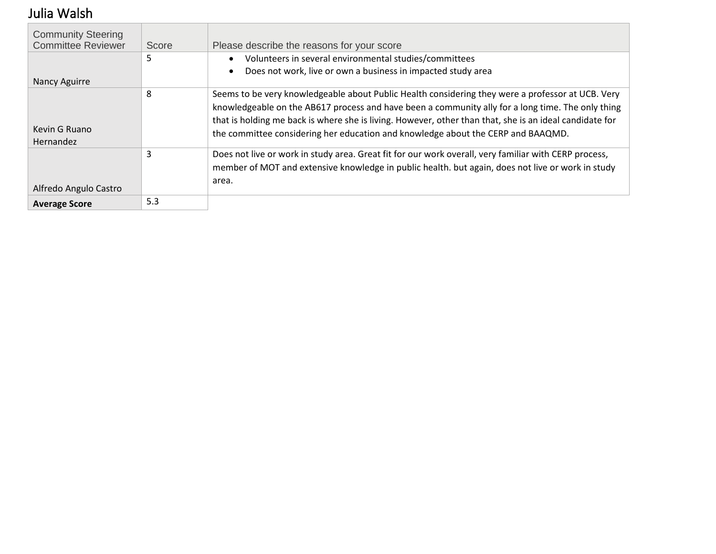# <span id="page-15-0"></span>Julia Walsh

| <b>Community Steering</b><br><b>Committee Reviewer</b> | Score | Please describe the reasons for your score                                                                                                                                                                                                                                                                                                                                                            |
|--------------------------------------------------------|-------|-------------------------------------------------------------------------------------------------------------------------------------------------------------------------------------------------------------------------------------------------------------------------------------------------------------------------------------------------------------------------------------------------------|
|                                                        | 5     | Volunteers in several environmental studies/committees<br>$\bullet$<br>Does not work, live or own a business in impacted study area                                                                                                                                                                                                                                                                   |
| Nancy Aguirre                                          |       |                                                                                                                                                                                                                                                                                                                                                                                                       |
| Kevin G Ruano<br><b>Hernandez</b>                      | 8     | Seems to be very knowledgeable about Public Health considering they were a professor at UCB. Very<br>knowledgeable on the AB617 process and have been a community ally for a long time. The only thing<br>that is holding me back is where she is living. However, other than that, she is an ideal candidate for<br>the committee considering her education and knowledge about the CERP and BAAQMD. |
| Alfredo Angulo Castro                                  | 3     | Does not live or work in study area. Great fit for our work overall, very familiar with CERP process,<br>member of MOT and extensive knowledge in public health. but again, does not live or work in study<br>area.                                                                                                                                                                                   |
| <b>Average Score</b>                                   | 5.3   |                                                                                                                                                                                                                                                                                                                                                                                                       |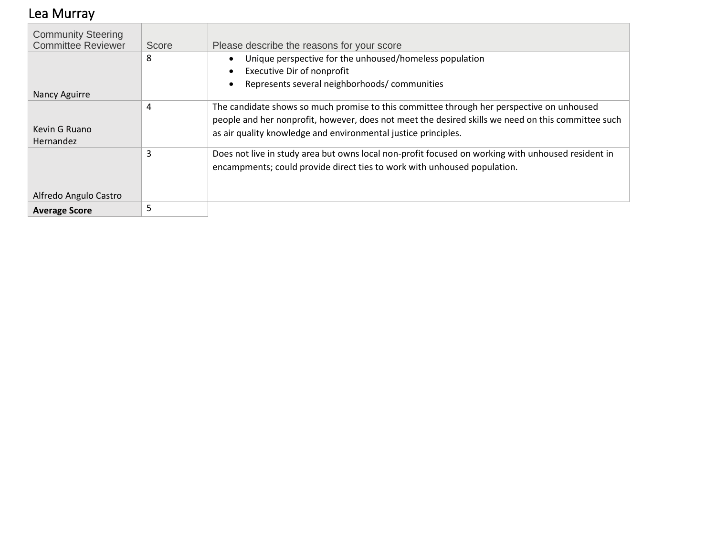## <span id="page-16-0"></span>Lea Murray

| <b>Community Steering</b> |       |                                                                                                    |
|---------------------------|-------|----------------------------------------------------------------------------------------------------|
| <b>Committee Reviewer</b> | Score | Please describe the reasons for your score                                                         |
|                           | 8     | Unique perspective for the unhoused/homeless population                                            |
|                           |       | <b>Executive Dir of nonprofit</b>                                                                  |
|                           |       | Represents several neighborhoods/communities                                                       |
| Nancy Aguirre             |       |                                                                                                    |
|                           | 4     | The candidate shows so much promise to this committee through her perspective on unhoused          |
|                           |       | people and her nonprofit, however, does not meet the desired skills we need on this committee such |
| Kevin G Ruano             |       | as air quality knowledge and environmental justice principles.                                     |
| <b>Hernandez</b>          |       |                                                                                                    |
|                           | 3     | Does not live in study area but owns local non-profit focused on working with unhoused resident in |
|                           |       | encampments; could provide direct ties to work with unhoused population.                           |
|                           |       |                                                                                                    |
| Alfredo Angulo Castro     |       |                                                                                                    |
| <b>Average Score</b>      | 5     |                                                                                                    |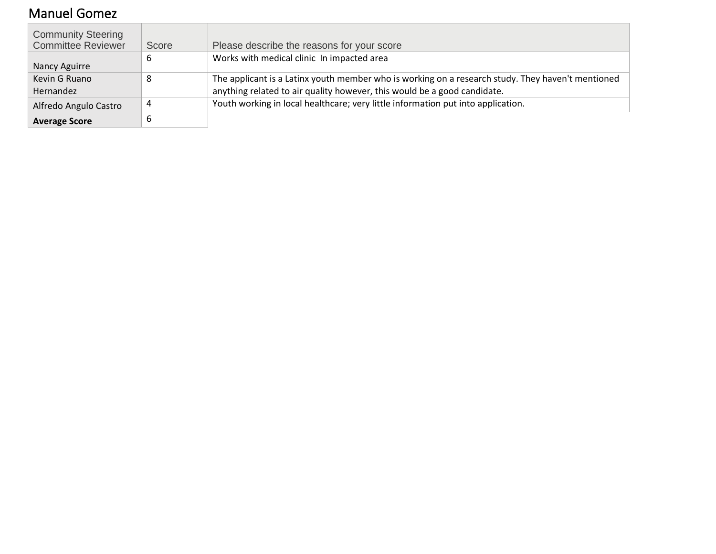## <span id="page-17-0"></span>Manuel Gomez

| <b>Community Steering</b><br><b>Committee Reviewer</b> | Score | Please describe the reasons for your score                                                                                                                                    |
|--------------------------------------------------------|-------|-------------------------------------------------------------------------------------------------------------------------------------------------------------------------------|
| Nancy Aguirre                                          | о     | Works with medical clinic In impacted area                                                                                                                                    |
| Kevin G Ruano<br>Hernandez                             | 8     | The applicant is a Latinx youth member who is working on a research study. They haven't mentioned<br>anything related to air quality however, this would be a good candidate. |
| Alfredo Angulo Castro                                  | 4     | Youth working in local healthcare; very little information put into application.                                                                                              |
| <b>Average Score</b>                                   |       |                                                                                                                                                                               |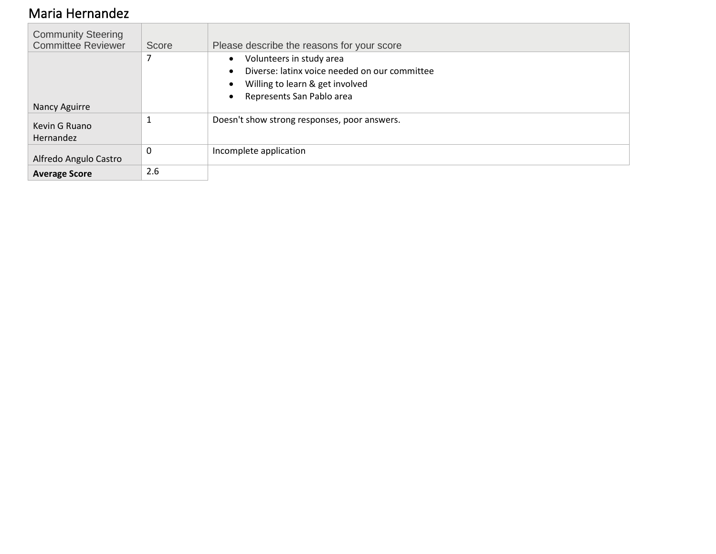#### <span id="page-18-0"></span>Maria Hernandez

| <b>Community Steering</b><br><b>Committee Reviewer</b> | Score | Please describe the reasons for your score    |
|--------------------------------------------------------|-------|-----------------------------------------------|
|                                                        |       | Volunteers in study area<br>$\bullet$         |
|                                                        |       | Diverse: latinx voice needed on our committee |
|                                                        |       | Willing to learn & get involved               |
|                                                        |       | Represents San Pablo area                     |
| Nancy Aguirre                                          |       |                                               |
| Kevin G Ruano                                          |       | Doesn't show strong responses, poor answers.  |
|                                                        |       |                                               |
| Hernandez                                              |       |                                               |
| Alfredo Angulo Castro                                  | 0     | Incomplete application                        |
| <b>Average Score</b>                                   | 2.6   |                                               |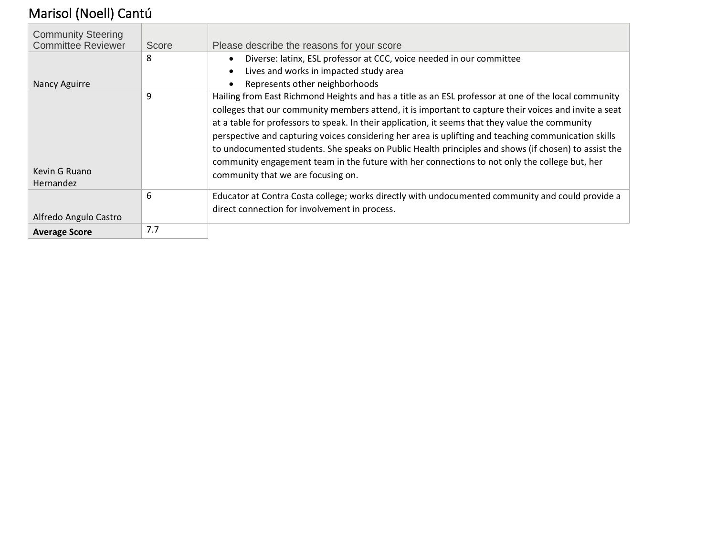# <span id="page-19-0"></span>Marisol (Noell) Cantú

| <b>Community Steering</b><br><b>Committee Reviewer</b> | Score | Please describe the reasons for your score                                                                                                                                                                                                                                                                                                                                                                                                                                                                                                                                                                                                                               |
|--------------------------------------------------------|-------|--------------------------------------------------------------------------------------------------------------------------------------------------------------------------------------------------------------------------------------------------------------------------------------------------------------------------------------------------------------------------------------------------------------------------------------------------------------------------------------------------------------------------------------------------------------------------------------------------------------------------------------------------------------------------|
|                                                        | 8     | Diverse: latinx, ESL professor at CCC, voice needed in our committee                                                                                                                                                                                                                                                                                                                                                                                                                                                                                                                                                                                                     |
| Nancy Aguirre                                          |       | Lives and works in impacted study area<br>$\bullet$<br>Represents other neighborhoods                                                                                                                                                                                                                                                                                                                                                                                                                                                                                                                                                                                    |
| Kevin G Ruano<br><b>Hernandez</b>                      | 9     | Hailing from East Richmond Heights and has a title as an ESL professor at one of the local community<br>colleges that our community members attend, it is important to capture their voices and invite a seat<br>at a table for professors to speak. In their application, it seems that they value the community<br>perspective and capturing voices considering her area is uplifting and teaching communication skills<br>to undocumented students. She speaks on Public Health principles and shows (if chosen) to assist the<br>community engagement team in the future with her connections to not only the college but, her<br>community that we are focusing on. |
| Alfredo Angulo Castro                                  | 6     | Educator at Contra Costa college; works directly with undocumented community and could provide a<br>direct connection for involvement in process.                                                                                                                                                                                                                                                                                                                                                                                                                                                                                                                        |
| <b>Average Score</b>                                   | 7.7   |                                                                                                                                                                                                                                                                                                                                                                                                                                                                                                                                                                                                                                                                          |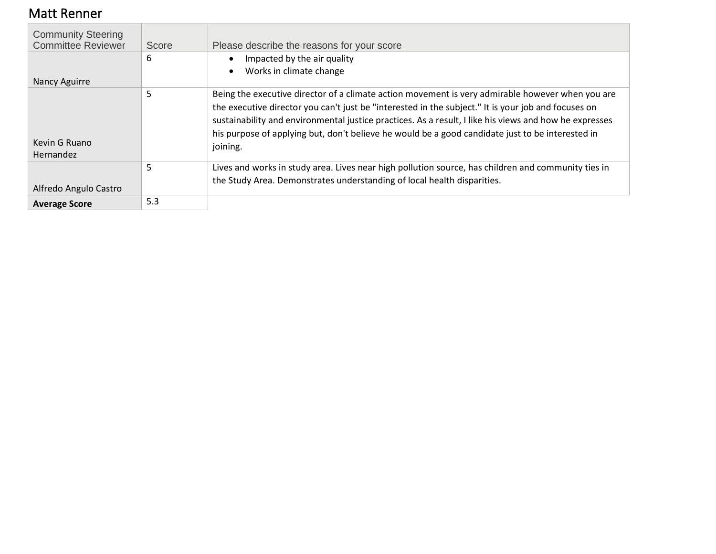#### <span id="page-20-0"></span>Matt Renner

| <b>Community Steering</b><br><b>Committee Reviewer</b> | Score | Please describe the reasons for your score                                                                                                                                                                                                                                                                                                                                                                                        |
|--------------------------------------------------------|-------|-----------------------------------------------------------------------------------------------------------------------------------------------------------------------------------------------------------------------------------------------------------------------------------------------------------------------------------------------------------------------------------------------------------------------------------|
|                                                        | 6     | Impacted by the air quality                                                                                                                                                                                                                                                                                                                                                                                                       |
| Nancy Aguirre                                          |       | Works in climate change                                                                                                                                                                                                                                                                                                                                                                                                           |
| Kevin G Ruano<br>Hernandez                             | 5     | Being the executive director of a climate action movement is very admirable however when you are<br>the executive director you can't just be "interested in the subject." It is your job and focuses on<br>sustainability and environmental justice practices. As a result, I like his views and how he expresses<br>his purpose of applying but, don't believe he would be a good candidate just to be interested in<br>joining. |
| Alfredo Angulo Castro                                  | 5     | Lives and works in study area. Lives near high pollution source, has children and community ties in<br>the Study Area. Demonstrates understanding of local health disparities.                                                                                                                                                                                                                                                    |
| <b>Average Score</b>                                   | 5.3   |                                                                                                                                                                                                                                                                                                                                                                                                                                   |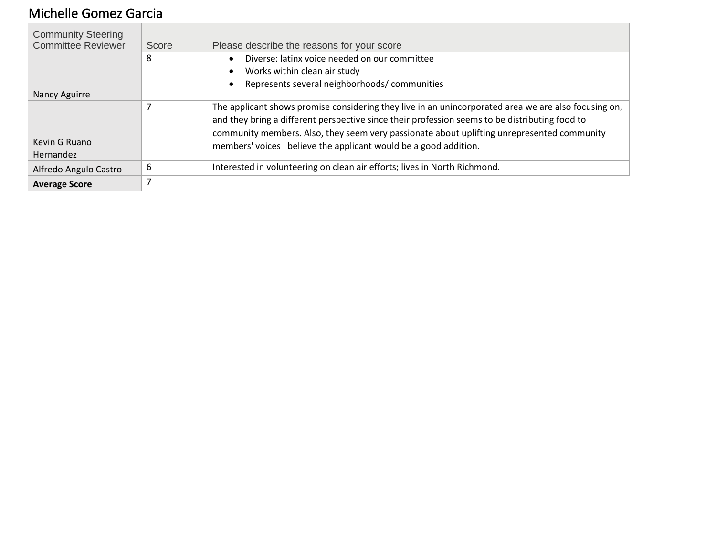## <span id="page-21-0"></span>Michelle Gomez Garcia

| <b>Community Steering</b><br><b>Committee Reviewer</b> | Score | Please describe the reasons for your score                                                           |
|--------------------------------------------------------|-------|------------------------------------------------------------------------------------------------------|
|                                                        | 8     | Diverse: latinx voice needed on our committee                                                        |
|                                                        |       | Works within clean air study<br>$\bullet$                                                            |
|                                                        |       | Represents several neighborhoods/communities<br>$\bullet$                                            |
| Nancy Aguirre                                          |       |                                                                                                      |
|                                                        |       | The applicant shows promise considering they live in an unincorporated area we are also focusing on, |
|                                                        |       | and they bring a different perspective since their profession seems to be distributing food to       |
|                                                        |       | community members. Also, they seem very passionate about uplifting unrepresented community           |
| Kevin G Ruano                                          |       | members' voices I believe the applicant would be a good addition.                                    |
| Hernandez                                              |       |                                                                                                      |
| Alfredo Angulo Castro                                  | 6     | Interested in volunteering on clean air efforts; lives in North Richmond.                            |
| <b>Average Score</b>                                   |       |                                                                                                      |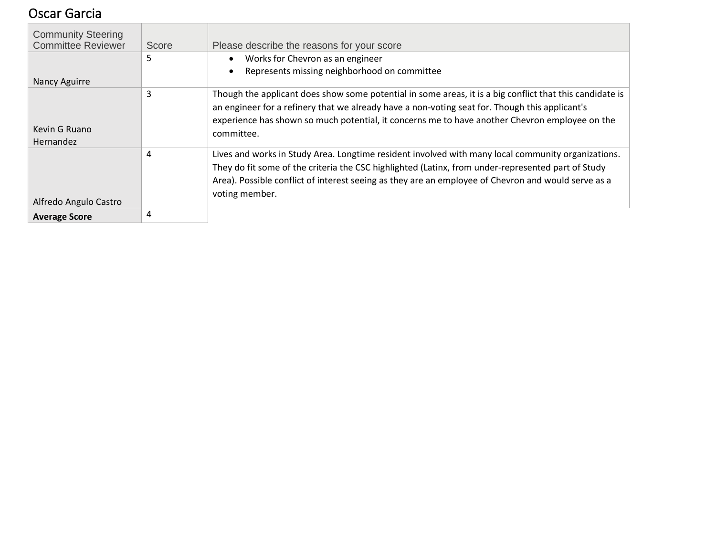#### <span id="page-22-0"></span>Oscar Garcia

| <b>Community Steering</b><br><b>Committee Reviewer</b> | Score | Please describe the reasons for your score                                                               |
|--------------------------------------------------------|-------|----------------------------------------------------------------------------------------------------------|
|                                                        | 5     | • Works for Chevron as an engineer                                                                       |
|                                                        |       | Represents missing neighborhood on committee<br>$\bullet$                                                |
| <b>Nancy Aguirre</b>                                   |       |                                                                                                          |
|                                                        | 3     | Though the applicant does show some potential in some areas, it is a big conflict that this candidate is |
|                                                        |       | an engineer for a refinery that we already have a non-voting seat for. Though this applicant's           |
|                                                        |       | experience has shown so much potential, it concerns me to have another Chevron employee on the           |
| Kevin G Ruano                                          |       | committee.                                                                                               |
| Hernandez                                              |       |                                                                                                          |
|                                                        | 4     | Lives and works in Study Area. Longtime resident involved with many local community organizations.       |
|                                                        |       | They do fit some of the criteria the CSC highlighted (Latinx, from under-represented part of Study       |
|                                                        |       | Area). Possible conflict of interest seeing as they are an employee of Chevron and would serve as a      |
|                                                        |       | voting member.                                                                                           |
| Alfredo Angulo Castro                                  |       |                                                                                                          |
| <b>Average Score</b>                                   | 4     |                                                                                                          |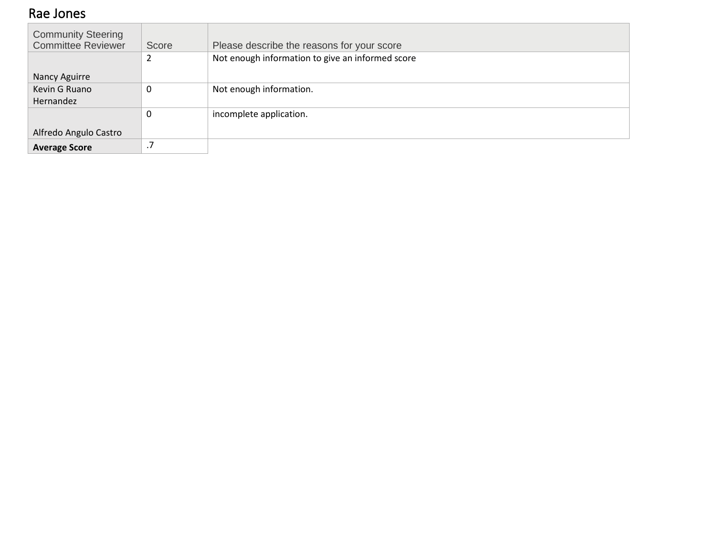#### <span id="page-23-0"></span>Rae Jones

| <b>Community Steering</b> |       |                                                  |
|---------------------------|-------|--------------------------------------------------|
| <b>Committee Reviewer</b> | Score | Please describe the reasons for your score       |
|                           | 2     | Not enough information to give an informed score |
| Nancy Aguirre             |       |                                                  |
| Kevin G Ruano             | 0     | Not enough information.                          |
| Hernandez                 |       |                                                  |
|                           | 0     | incomplete application.                          |
| Alfredo Angulo Castro     |       |                                                  |
|                           |       |                                                  |
| <b>Average Score</b>      | .7    |                                                  |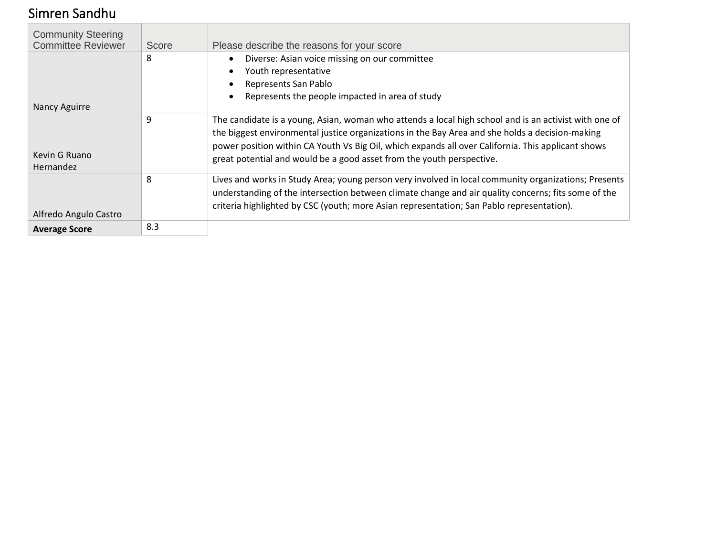## <span id="page-24-0"></span>Simren Sandhu

| <b>Community Steering</b><br><b>Committee Reviewer</b> | Score | Please describe the reasons for your score                                                            |
|--------------------------------------------------------|-------|-------------------------------------------------------------------------------------------------------|
|                                                        | 8     | Diverse: Asian voice missing on our committee                                                         |
|                                                        |       | Youth representative<br>$\bullet$                                                                     |
|                                                        |       | Represents San Pablo                                                                                  |
|                                                        |       | Represents the people impacted in area of study<br>$\bullet$                                          |
| Nancy Aguirre                                          |       |                                                                                                       |
|                                                        | 9     | The candidate is a young, Asian, woman who attends a local high school and is an activist with one of |
|                                                        |       | the biggest environmental justice organizations in the Bay Area and she holds a decision-making       |
|                                                        |       | power position within CA Youth Vs Big Oil, which expands all over California. This applicant shows    |
| Kevin G Ruano                                          |       | great potential and would be a good asset from the youth perspective.                                 |
| Hernandez                                              |       |                                                                                                       |
|                                                        | 8     | Lives and works in Study Area; young person very involved in local community organizations; Presents  |
|                                                        |       | understanding of the intersection between climate change and air quality concerns; fits some of the   |
|                                                        |       | criteria highlighted by CSC (youth; more Asian representation; San Pablo representation).             |
| Alfredo Angulo Castro                                  |       |                                                                                                       |
| <b>Average Score</b>                                   | 8.3   |                                                                                                       |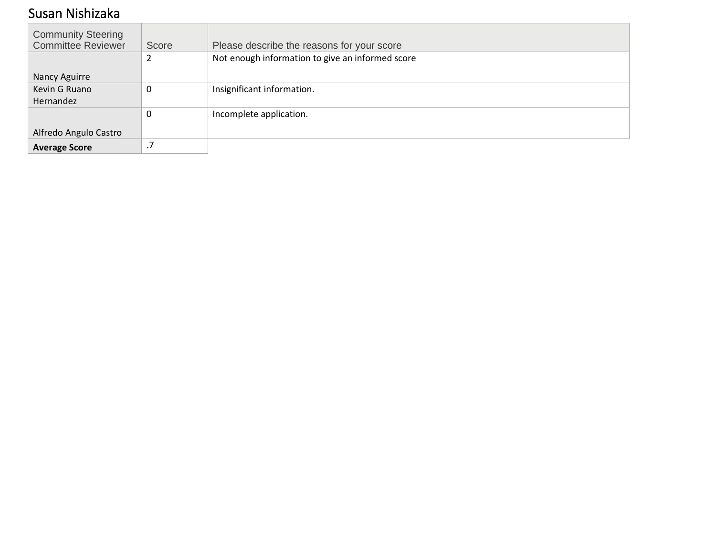#### <span id="page-25-0"></span>Susan Nishizaka

| <b>Community Steering</b> |           |                                                  |
|---------------------------|-----------|--------------------------------------------------|
| <b>Committee Reviewer</b> | Score     | Please describe the reasons for your score       |
|                           |           | Not enough information to give an informed score |
| <b>Nancy Aguirre</b>      |           |                                                  |
| Kevin G Ruano             | 0         | Insignificant information.                       |
| Hernandez                 |           |                                                  |
|                           | 0         | Incomplete application.                          |
| Alfredo Angulo Castro     |           |                                                  |
| <b>Average Score</b>      | $\cdot$ / |                                                  |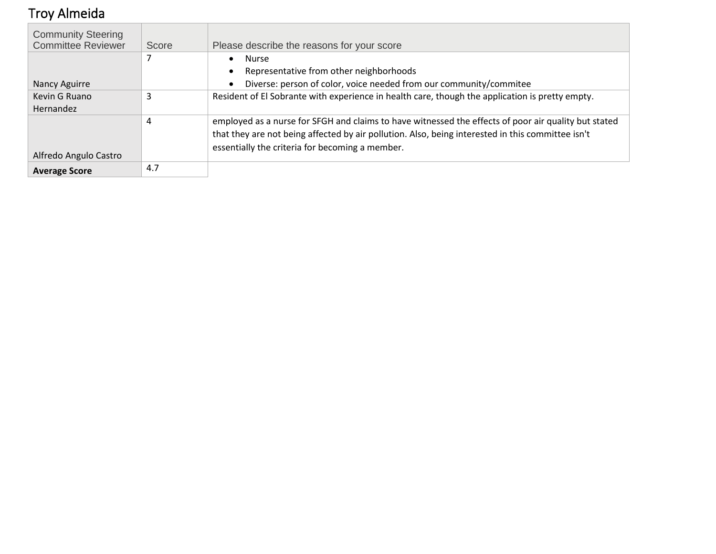# <span id="page-26-0"></span>Troy Almeida

| <b>Community Steering</b> |       |                                                                                                      |
|---------------------------|-------|------------------------------------------------------------------------------------------------------|
| <b>Committee Reviewer</b> | Score | Please describe the reasons for your score                                                           |
|                           |       | Nurse<br>$\bullet$                                                                                   |
|                           |       | Representative from other neighborhoods                                                              |
| Nancy Aguirre             |       | Diverse: person of color, voice needed from our community/commitee                                   |
| Kevin G Ruano             | 3     | Resident of El Sobrante with experience in health care, though the application is pretty empty.      |
| Hernandez                 |       |                                                                                                      |
|                           | 4     | employed as a nurse for SFGH and claims to have witnessed the effects of poor air quality but stated |
|                           |       | that they are not being affected by air pollution. Also, being interested in this committee isn't    |
|                           |       | essentially the criteria for becoming a member.                                                      |
| Alfredo Angulo Castro     |       |                                                                                                      |
| <b>Average Score</b>      | 4.7   |                                                                                                      |